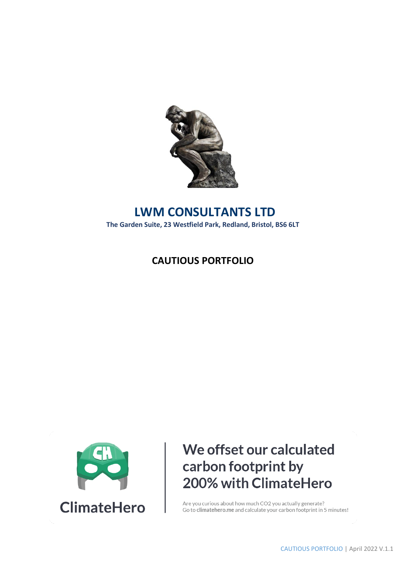

## **LWM CONSULTANTS LTD The Garden Suite, 23 Westfield Park, Redland, Bristol, BS6 6LT**

## **CAUTIOUS PORTFOLIO**



# We offset our calculated carbon footprint by 200% with ClimateHero

Are you curious about how much CO2 you actually generate? Go to climatehero.me and calculate your carbon footprint in 5 minutes!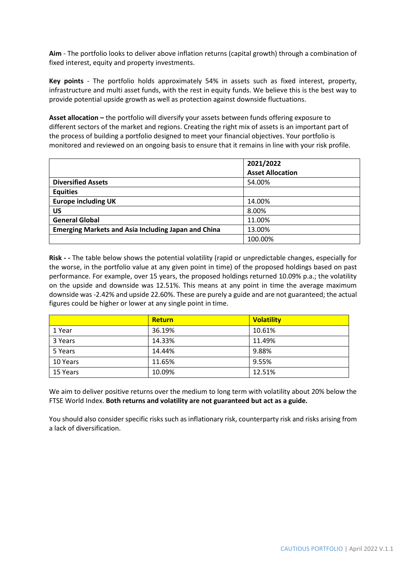**Aim** - The portfolio looks to deliver above inflation returns (capital growth) through a combination of fixed interest, equity and property investments.

**Key points** - The portfolio holds approximately 54% in assets such as fixed interest, property, infrastructure and multi asset funds, with the rest in equity funds. We believe this is the best way to provide potential upside growth as well as protection against downside fluctuations.

**Asset allocation –** the portfolio will diversify your assets between funds offering exposure to different sectors of the market and regions. Creating the right mix of assets is an important part of the process of building a portfolio designed to meet your financial objectives. Your portfolio is monitored and reviewed on an ongoing basis to ensure that it remains in line with your risk profile.

|                                                            | 2021/2022               |
|------------------------------------------------------------|-------------------------|
|                                                            | <b>Asset Allocation</b> |
| <b>Diversified Assets</b>                                  | 54.00%                  |
| <b>Equities</b>                                            |                         |
| <b>Europe including UK</b>                                 | 14.00%                  |
| บร                                                         | 8.00%                   |
| <b>General Global</b>                                      | 11.00%                  |
| <b>Emerging Markets and Asia Including Japan and China</b> | 13.00%                  |
|                                                            | 100.00%                 |

**Risk - -** The table below shows the potential volatility (rapid or unpredictable changes, especially for the worse, in the portfolio value at any given point in time) of the proposed holdings based on past performance. For example, over 15 years, the proposed holdings returned 10.09% p.a.; the volatility on the upside and downside was 12.51%. This means at any point in time the average maximum downside was -2.42% and upside 22.60%. These are purely a guide and are not guaranteed; the actual figures could be higher or lower at any single point in time.

|          | <b>Return</b> | <b>Volatility</b> |
|----------|---------------|-------------------|
| 1 Year   | 36.19%        | 10.61%            |
| 3 Years  | 14.33%        | 11.49%            |
| 5 Years  | 14.44%        | 9.88%             |
| 10 Years | 11.65%        | 9.55%             |
| 15 Years | 10.09%        | 12.51%            |

We aim to deliver positive returns over the medium to long term with volatility about 20% below the FTSE World Index. **Both returns and volatility are not guaranteed but act as a guide.** 

You should also consider specific risks such as inflationary risk, counterparty risk and risks arising from a lack of diversification.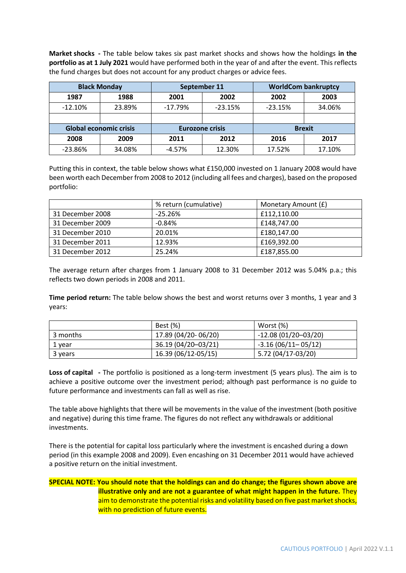**Market shocks -** The table below takes six past market shocks and shows how the holdings **in the portfolio as at 1 July 2021** would have performed both in the year of and after the event. This reflects the fund charges but does not account for any product charges or advice fees.

|           | <b>Black Monday</b>    |              | September 11           |           | <b>WorldCom bankruptcy</b> |
|-----------|------------------------|--------------|------------------------|-----------|----------------------------|
| 1987      | 1988                   | 2002<br>2001 |                        | 2002      | 2003                       |
| $-12.10%$ | 23.89%                 | $-17.79%$    | $-23.15%$              | $-23.15%$ | 34.06%                     |
|           |                        |              |                        |           |                            |
|           | Global economic crisis |              | <b>Eurozone crisis</b> |           | <b>Brexit</b>              |
| 2008      | 2009                   | 2011         | 2012                   | 2016      | 2017                       |
| $-23.86%$ | 34.08%                 | $-4.57%$     | 12.30%                 | 17.52%    | 17.10%                     |

Putting this in context, the table below shows what £150,000 invested on 1 January 2008 would have been worth each December from 2008 to 2012 (including all fees and charges), based on the proposed portfolio:

|                  | % return (cumulative) | Monetary Amount (£) |
|------------------|-----------------------|---------------------|
| 31 December 2008 | $-25.26%$             | £112,110.00         |
| 31 December 2009 | $-0.84%$              | £148,747.00         |
| 31 December 2010 | 20.01%                | £180,147.00         |
| 31 December 2011 | 12.93%                | £169,392.00         |
| 31 December 2012 | 25.24%                | £187,855.00         |

The average return after charges from 1 January 2008 to 31 December 2012 was 5.04% p.a.; this reflects two down periods in 2008 and 2011.

**Time period return:** The table below shows the best and worst returns over 3 months, 1 year and 3 years:

|          | Best (%)            | Worst (%)             |
|----------|---------------------|-----------------------|
| 3 months | 17.89 (04/20-06/20) | $-12.08(01/20-03/20)$ |
| 1 year   | 36.19 (04/20-03/21) | $-3.16(06/11-05/12)$  |
| 3 years  | 16.39 (06/12-05/15) | 5.72 (04/17-03/20)    |

**Loss of capital -** The portfolio is positioned as a long-term investment (5 years plus). The aim is to achieve a positive outcome over the investment period; although past performance is no guide to future performance and investments can fall as well as rise.

The table above highlights that there will be movements in the value of the investment (both positive and negative) during this time frame. The figures do not reflect any withdrawals or additional investments.

There is the potential for capital loss particularly where the investment is encashed during a down period (in this example 2008 and 2009). Even encashing on 31 December 2011 would have achieved a positive return on the initial investment.

### **SPECIAL NOTE: You should note that the holdings can and do change; the figures shown above are illustrative only and are not a guarantee of what might happen in the future.** They aim to demonstrate the potential risks and volatility based on five past market shocks, with no prediction of future events.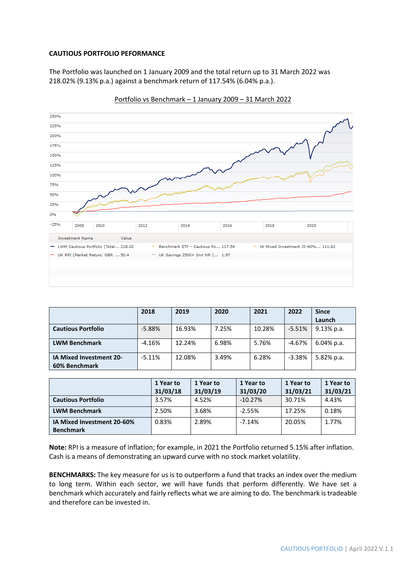#### **CAUTIOUS PORTFOLIO PEFORMANCE**

The Portfolio was launched on 1 January 2009 and the total return up to 31 March 2022 was 218.02% (9.13% p.a.) against a benchmark return of 117.54% (6.04% p.a.).



Portfolio vs Benchmark – 1 January 2009 – 31 March 2022

|                                                 | 2018     | 2019   | 2020  | 2021   | 2022     | <b>Since</b><br>Launch |
|-------------------------------------------------|----------|--------|-------|--------|----------|------------------------|
| <b>Cautious Portfolio</b>                       | $-5.88%$ | 16.93% | 7.25% | 10.28% | $-5.51%$ | $9.13\%$ p.a.          |
| <b>LWM Benchmark</b>                            | $-4.16%$ | 12.24% | 6.98% | 5.76%  | -4.67%   | $6.04\%$ p.a.          |
| <b>IA Mixed Investment 20-</b><br>60% Benchmark | $-5.11%$ | 12.08% | 3.49% | 6.28%  | $-3.38%$ | 5.82% p.a.             |

|                            | 1 Year to<br>31/03/18 | 1 Year to<br>31/03/19 | 1 Year to<br>31/03/20 | 1 Year to<br>31/03/21 | 1 Year to<br>31/03/21 |
|----------------------------|-----------------------|-----------------------|-----------------------|-----------------------|-----------------------|
| <b>Cautious Portfolio</b>  | 3.57%                 | 4.52%                 | $-10.27%$             | 30.71%                | 4.43%                 |
| <b>LWM Benchmark</b>       | 2.50%                 | 3.68%                 | $-2.55%$              | 17.25%                | 0.18%                 |
| IA Mixed Investment 20-60% | 0.83%                 | 2.89%                 | $-7.14%$              | 20.05%                | 1.77%                 |
| <b>Benchmark</b>           |                       |                       |                       |                       |                       |

**Note:** RPI is a measure of inflation; for example, in 2021 the Portfolio returned 5.15% after inflation. Cash is a means of demonstrating an upward curve with no stock market volatility.

**BENCHMARKS:** The key measure for us is to outperform a fund that tracks an index over the medium to long term. Within each sector, we will have funds that perform differently. We have set a benchmark which accurately and fairly reflects what we are aiming to do. The benchmark is tradeable and therefore can be invested in.